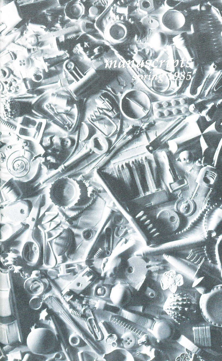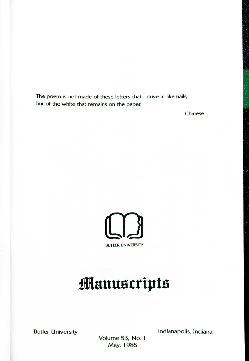The poem is not made of these letters that I drive in like nails, but of the white that remains on the paper.

Chinese



## **.manus cripts**

Butler University **Indianapolis**, Indiana

Volume 53, No. May, 1985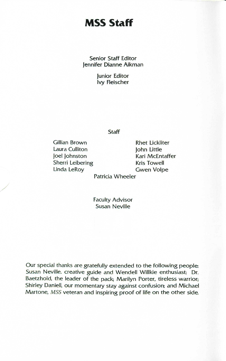## **MSS Staff**

Senior Staff Editor Jennifer Dianne Aikman

> Junior Editor Ivy Fleischer

> > Staff

Gillian Brown Laura Culliton Joel Johnston Sherri Leibering Linda LeRoy

/

Rhet Lickliter John Little Kari McEntaffer Kris Towell Gwen Volpe

Patricia Wheeler

**Faculty Advisor** Susan Neville

Our special thanks are gratefully extended to the following people: Susan Neville. creative guide and Wendell Willkie enthusiast; Dr. Baetzhold, the leader of the pack; Marilyn Porter, tireless warrior; Shirley Daniell, our momentary stay against confusion; and Michael Martone, *MSS* veteran and inspiring proof of life on the other side.